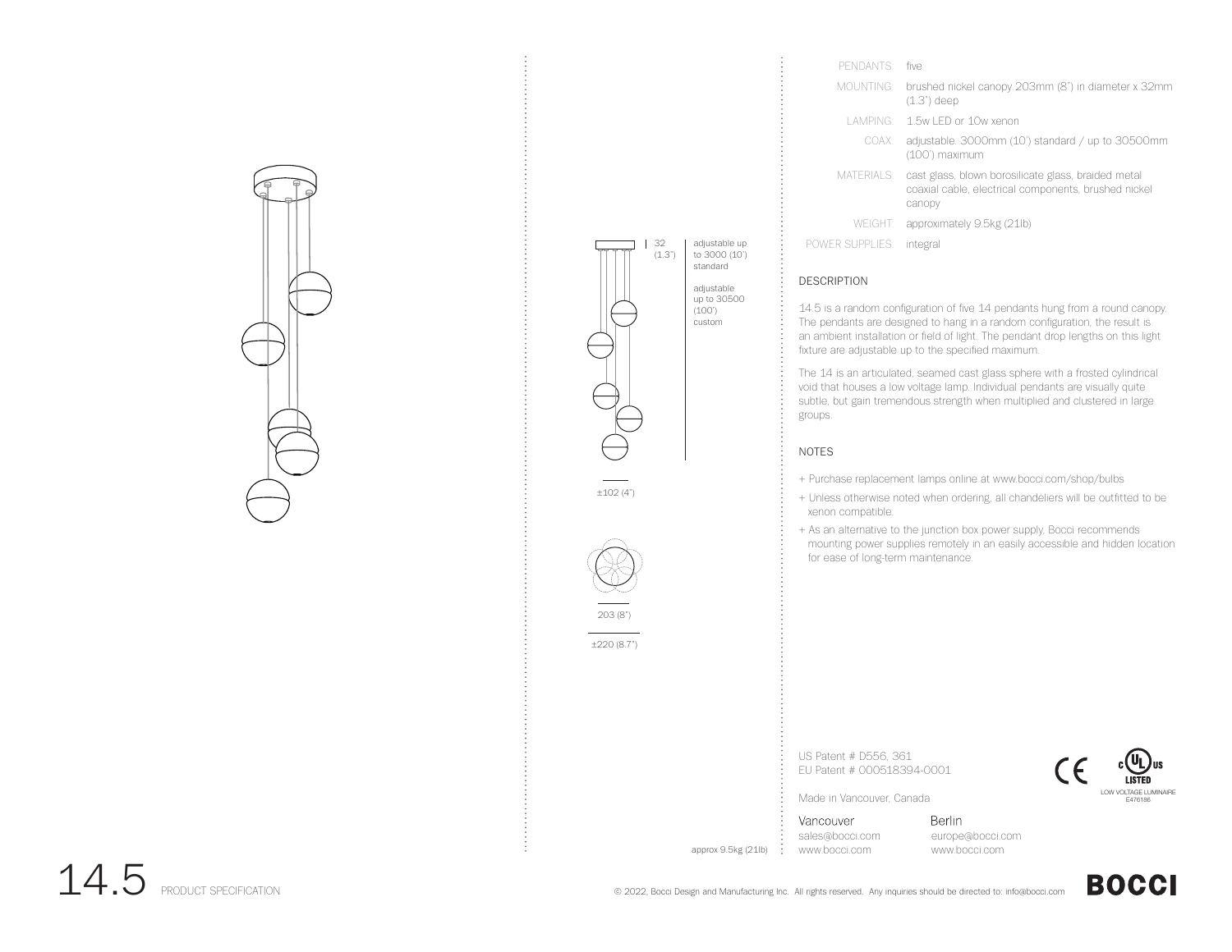



| PFNDANTS:       | five                                                                                                                  |
|-----------------|-----------------------------------------------------------------------------------------------------------------------|
| MOUNTING:       | brushed nickel canopy 203mm (8") in diameter x 32mm<br>$(1.3")$ deep                                                  |
|                 | LAMPING: 1.5w LED or 10w xenon                                                                                        |
| COAX:           | adjustable. 3000mm (10') standard / up to 30500mm<br>(100') maximum                                                   |
| MATERIALS:      | cast glass, blown borosilicate glass, braided metal<br>coaxial cable, electrical components, brushed nickel<br>canopy |
|                 | WEIGHT: approximately 9.5kg (21lb)                                                                                    |
| POWER SUPPLIFS: | integral                                                                                                              |

## DESCRIPTION

14.5 is a random configuration of five 14 pendants hung from a round canopy. The pendants are designed to hang in a random configuration, the result is an ambient installation or field of light. The pendant drop lengths on this light fixture are adjustable up to the specified maximum.

The 14 is an articulated, seamed cast glass sphere with a frosted cylindrical void that houses a low voltage lamp. Individual pendants are visually quite subtle, but gain tremendous strength when multiplied and clustered in large groups.

## NOTES

- + Purchase replacement lamps online at www.bocci.com/shop/bulbs
- + Unless otherwise noted when ordering, all chandeliers will be outfitted to be xenon compatible.
- + As an alternative to the junction box power supply, Bocci recommends mounting power supplies remotely in an easily accessible and hidden location for ease of long-term maintenance.

US Patent # D556, 361 EU Patent # 000518394-0001



Made in Vancouver, Canada

Vancouver sales@bocci.com www.bocci.com

approx 9.5kg (21lb)

Berlin europe@bocci.com www.bocci.com